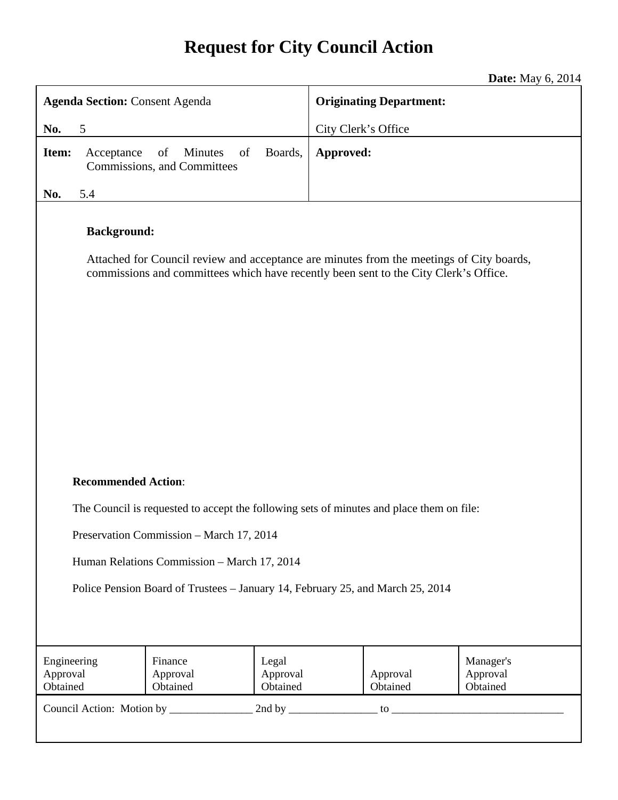# **Request for City Council Action**

**Date:** May 6, 2014

| <b>Agenda Section: Consent Agenda</b>                                                                                                                                                                  |                                 |                               | <b>Originating Department:</b> |                      |                                   |
|--------------------------------------------------------------------------------------------------------------------------------------------------------------------------------------------------------|---------------------------------|-------------------------------|--------------------------------|----------------------|-----------------------------------|
| 5<br>No.                                                                                                                                                                                               |                                 |                               | City Clerk's Office            |                      |                                   |
| Boards,<br>Item:<br>Minutes<br>of<br>Acceptance<br>of<br>Commissions, and Committees                                                                                                                   |                                 | Approved:                     |                                |                      |                                   |
| No.<br>5.4                                                                                                                                                                                             |                                 |                               |                                |                      |                                   |
| <b>Background:</b><br>Attached for Council review and acceptance are minutes from the meetings of City boards,<br>commissions and committees which have recently been sent to the City Clerk's Office. |                                 |                               |                                |                      |                                   |
| <b>Recommended Action:</b>                                                                                                                                                                             |                                 |                               |                                |                      |                                   |
| The Council is requested to accept the following sets of minutes and place them on file:                                                                                                               |                                 |                               |                                |                      |                                   |
| Preservation Commission - March 17, 2014                                                                                                                                                               |                                 |                               |                                |                      |                                   |
| Human Relations Commission - March 17, 2014                                                                                                                                                            |                                 |                               |                                |                      |                                   |
| Police Pension Board of Trustees - January 14, February 25, and March 25, 2014                                                                                                                         |                                 |                               |                                |                      |                                   |
| Engineering<br>Approval<br>Obtained                                                                                                                                                                    | Finance<br>Approval<br>Obtained | Legal<br>Approval<br>Obtained |                                | Approval<br>Obtained | Manager's<br>Approval<br>Obtained |
|                                                                                                                                                                                                        |                                 |                               |                                |                      |                                   |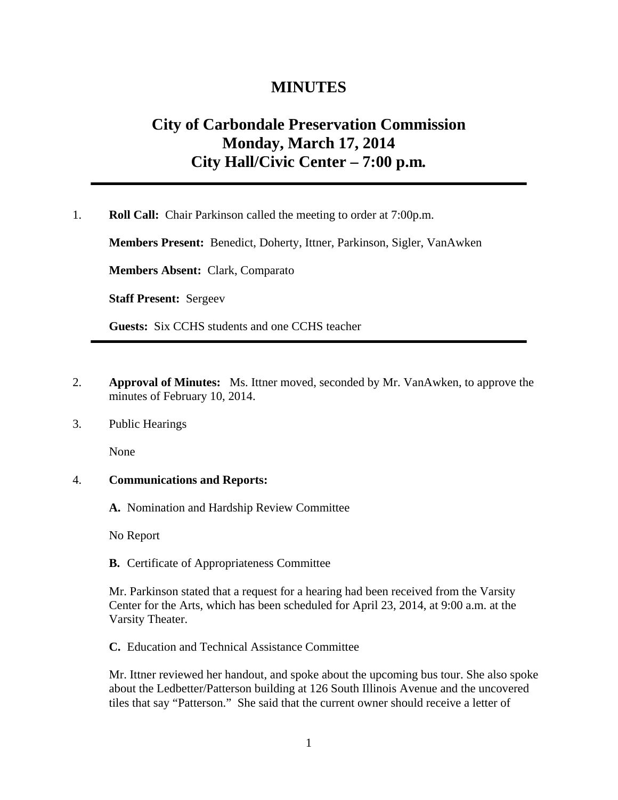## **MINUTES**

## **City of Carbondale Preservation Commission Monday, March 17, 2014 City Hall/Civic Center – 7:00 p.m***.*

1. **Roll Call:** Chair Parkinson called the meeting to order at 7:00p.m.

**Members Present:** Benedict, Doherty, Ittner, Parkinson, Sigler, VanAwken

**Members Absent:** Clark, Comparato

**Staff Present:** Sergeev

**Guests:** Six CCHS students and one CCHS teacher

- 2. **Approval of Minutes:** Ms. Ittner moved, seconded by Mr. VanAwken, to approve the minutes of February 10, 2014.
- 3. Public Hearings

None

## 4. **Communications and Reports:**

**A.** Nomination and Hardship Review Committee

No Report

**B.** Certificate of Appropriateness Committee

Mr. Parkinson stated that a request for a hearing had been received from the Varsity Center for the Arts, which has been scheduled for April 23, 2014, at 9:00 a.m. at the Varsity Theater.

**C.** Education and Technical Assistance Committee

Mr. Ittner reviewed her handout, and spoke about the upcoming bus tour. She also spoke about the Ledbetter/Patterson building at 126 South Illinois Avenue and the uncovered tiles that say "Patterson." She said that the current owner should receive a letter of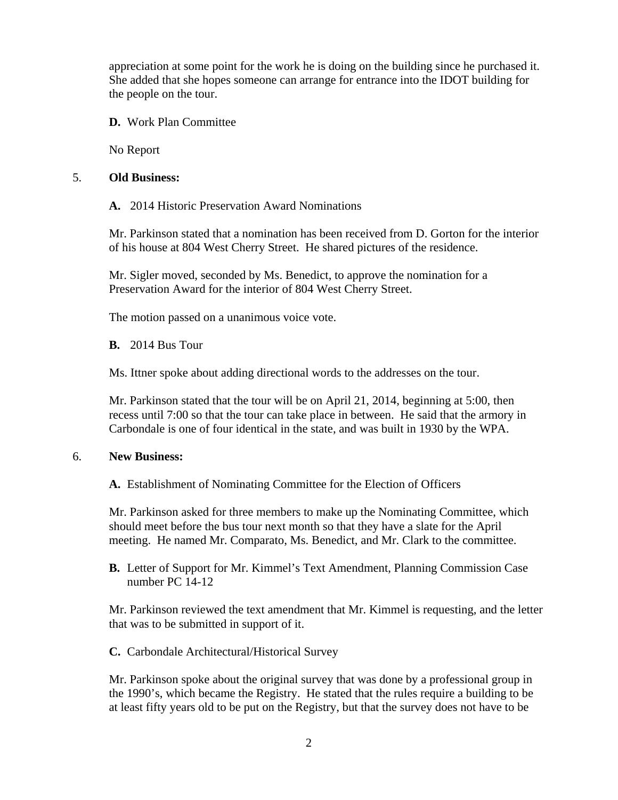appreciation at some point for the work he is doing on the building since he purchased it. She added that she hopes someone can arrange for entrance into the IDOT building for the people on the tour.

**D.** Work Plan Committee

No Report

## 5. **Old Business:**

**A.** 2014 Historic Preservation Award Nominations

Mr. Parkinson stated that a nomination has been received from D. Gorton for the interior of his house at 804 West Cherry Street. He shared pictures of the residence.

Mr. Sigler moved, seconded by Ms. Benedict, to approve the nomination for a Preservation Award for the interior of 804 West Cherry Street.

The motion passed on a unanimous voice vote.

**B.** 2014 Bus Tour

Ms. Ittner spoke about adding directional words to the addresses on the tour.

Mr. Parkinson stated that the tour will be on April 21, 2014, beginning at 5:00, then recess until 7:00 so that the tour can take place in between. He said that the armory in Carbondale is one of four identical in the state, and was built in 1930 by the WPA.

## 6. **New Business:**

**A.** Establishment of Nominating Committee for the Election of Officers

Mr. Parkinson asked for three members to make up the Nominating Committee, which should meet before the bus tour next month so that they have a slate for the April meeting. He named Mr. Comparato, Ms. Benedict, and Mr. Clark to the committee.

**B.** Letter of Support for Mr. Kimmel's Text Amendment, Planning Commission Case number PC 14-12

Mr. Parkinson reviewed the text amendment that Mr. Kimmel is requesting, and the letter that was to be submitted in support of it.

**C.** Carbondale Architectural/Historical Survey

Mr. Parkinson spoke about the original survey that was done by a professional group in the 1990's, which became the Registry. He stated that the rules require a building to be at least fifty years old to be put on the Registry, but that the survey does not have to be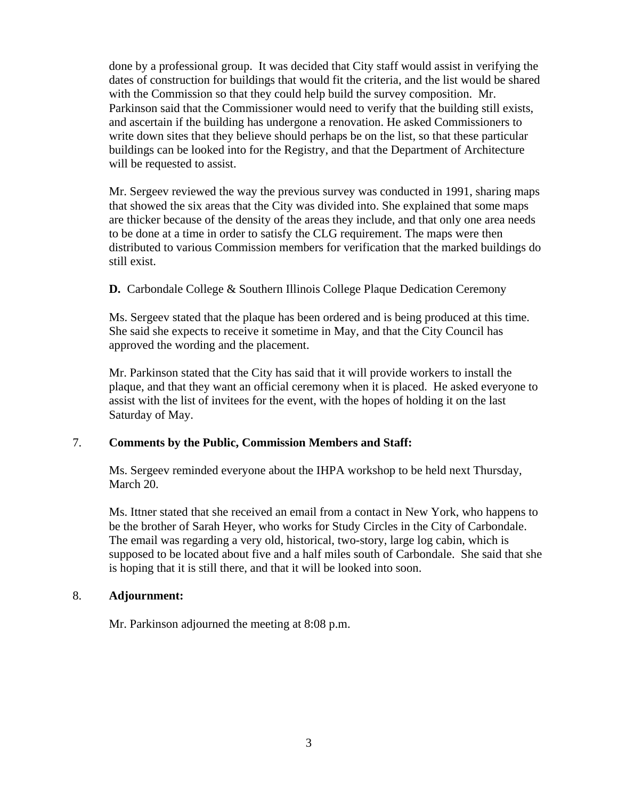done by a professional group. It was decided that City staff would assist in verifying the dates of construction for buildings that would fit the criteria, and the list would be shared with the Commission so that they could help build the survey composition. Mr. Parkinson said that the Commissioner would need to verify that the building still exists, and ascertain if the building has undergone a renovation. He asked Commissioners to write down sites that they believe should perhaps be on the list, so that these particular buildings can be looked into for the Registry, and that the Department of Architecture will be requested to assist.

Mr. Sergeev reviewed the way the previous survey was conducted in 1991, sharing maps that showed the six areas that the City was divided into. She explained that some maps are thicker because of the density of the areas they include, and that only one area needs to be done at a time in order to satisfy the CLG requirement. The maps were then distributed to various Commission members for verification that the marked buildings do still exist.

**D.** Carbondale College & Southern Illinois College Plaque Dedication Ceremony

Ms. Sergeev stated that the plaque has been ordered and is being produced at this time. She said she expects to receive it sometime in May, and that the City Council has approved the wording and the placement.

Mr. Parkinson stated that the City has said that it will provide workers to install the plaque, and that they want an official ceremony when it is placed. He asked everyone to assist with the list of invitees for the event, with the hopes of holding it on the last Saturday of May.

## 7. **Comments by the Public, Commission Members and Staff:**

Ms. Sergeev reminded everyone about the IHPA workshop to be held next Thursday, March 20.

Ms. Ittner stated that she received an email from a contact in New York, who happens to be the brother of Sarah Heyer, who works for Study Circles in the City of Carbondale. The email was regarding a very old, historical, two-story, large log cabin, which is supposed to be located about five and a half miles south of Carbondale. She said that she is hoping that it is still there, and that it will be looked into soon.

## 8. **Adjournment:**

Mr. Parkinson adjourned the meeting at 8:08 p.m.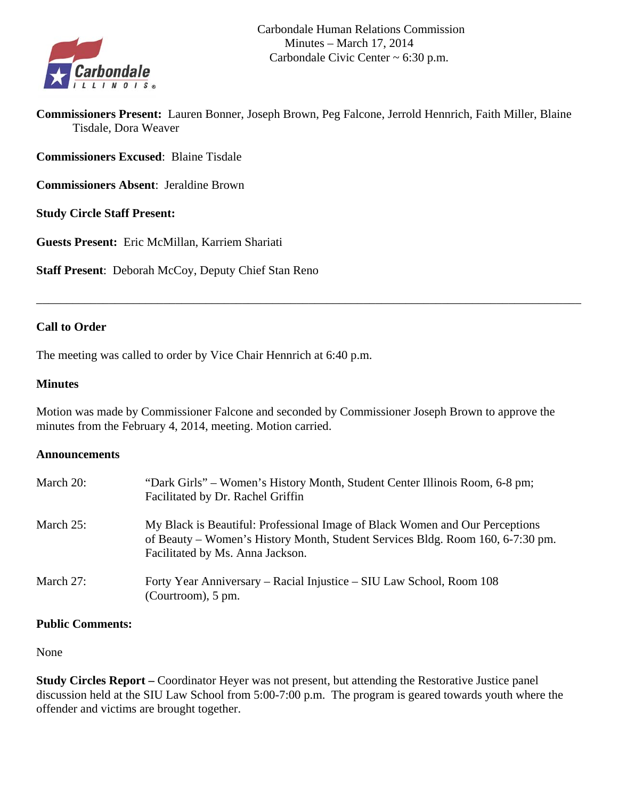

**Commissioners Present:** Lauren Bonner, Joseph Brown, Peg Falcone, Jerrold Hennrich, Faith Miller, Blaine Tisdale, Dora Weaver

**Commissioners Excused**: Blaine Tisdale

**Commissioners Absent**: Jeraldine Brown

**Study Circle Staff Present:** 

**Guests Present:** Eric McMillan, Karriem Shariati

**Staff Present**: Deborah McCoy, Deputy Chief Stan Reno

## **Call to Order**

The meeting was called to order by Vice Chair Hennrich at 6:40 p.m.

#### **Minutes**

Motion was made by Commissioner Falcone and seconded by Commissioner Joseph Brown to approve the minutes from the February 4, 2014, meeting. Motion carried.

\_\_\_\_\_\_\_\_\_\_\_\_\_\_\_\_\_\_\_\_\_\_\_\_\_\_\_\_\_\_\_\_\_\_\_\_\_\_\_\_\_\_\_\_\_\_\_\_\_\_\_\_\_\_\_\_\_\_\_\_\_\_\_\_\_\_\_\_\_\_\_\_\_\_\_\_\_\_\_\_\_\_\_\_\_\_\_\_\_\_

#### **Announcements**

| March 20:    | "Dark Girls" – Women's History Month, Student Center Illinois Room, 6-8 pm;<br>Facilitated by Dr. Rachel Griffin                                                                                   |
|--------------|----------------------------------------------------------------------------------------------------------------------------------------------------------------------------------------------------|
| March 25:    | My Black is Beautiful: Professional Image of Black Women and Our Perceptions<br>of Beauty – Women's History Month, Student Services Bldg. Room 160, 6-7:30 pm.<br>Facilitated by Ms. Anna Jackson. |
| March $27$ : | Forty Year Anniversary – Racial Injustice – SIU Law School, Room 108<br>(Courtroom), 5 pm.                                                                                                         |

## **Public Comments:**

#### None

**Study Circles Report –** Coordinator Heyer was not present, but attending the Restorative Justice panel discussion held at the SIU Law School from 5:00-7:00 p.m. The program is geared towards youth where the offender and victims are brought together.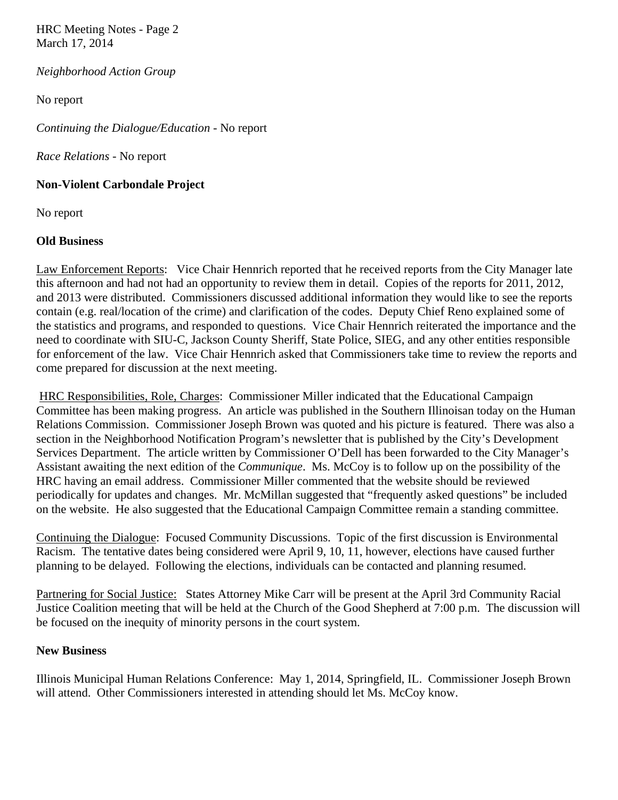HRC Meeting Notes - Page 2 March 17, 2014

*Neighborhood Action Group* 

No report

*Continuing the Dialogue/Education -* No report

*Race Relations -* No report

#### **Non-Violent Carbondale Project**

No report

## **Old Business**

Law Enforcement Reports: Vice Chair Hennrich reported that he received reports from the City Manager late this afternoon and had not had an opportunity to review them in detail. Copies of the reports for 2011, 2012, and 2013 were distributed. Commissioners discussed additional information they would like to see the reports contain (e.g. real/location of the crime) and clarification of the codes. Deputy Chief Reno explained some of the statistics and programs, and responded to questions. Vice Chair Hennrich reiterated the importance and the need to coordinate with SIU-C, Jackson County Sheriff, State Police, SIEG, and any other entities responsible for enforcement of the law. Vice Chair Hennrich asked that Commissioners take time to review the reports and come prepared for discussion at the next meeting.

 HRC Responsibilities, Role, Charges: Commissioner Miller indicated that the Educational Campaign Committee has been making progress. An article was published in the Southern Illinoisan today on the Human Relations Commission. Commissioner Joseph Brown was quoted and his picture is featured. There was also a section in the Neighborhood Notification Program's newsletter that is published by the City's Development Services Department. The article written by Commissioner O'Dell has been forwarded to the City Manager's Assistant awaiting the next edition of the *Communique*. Ms. McCoy is to follow up on the possibility of the HRC having an email address. Commissioner Miller commented that the website should be reviewed periodically for updates and changes. Mr. McMillan suggested that "frequently asked questions" be included on the website. He also suggested that the Educational Campaign Committee remain a standing committee.

Continuing the Dialogue: Focused Community Discussions. Topic of the first discussion is Environmental Racism. The tentative dates being considered were April 9, 10, 11, however, elections have caused further planning to be delayed. Following the elections, individuals can be contacted and planning resumed.

Partnering for Social Justice: States Attorney Mike Carr will be present at the April 3rd Community Racial Justice Coalition meeting that will be held at the Church of the Good Shepherd at 7:00 p.m. The discussion will be focused on the inequity of minority persons in the court system.

## **New Business**

Illinois Municipal Human Relations Conference: May 1, 2014, Springfield, IL. Commissioner Joseph Brown will attend. Other Commissioners interested in attending should let Ms. McCoy know.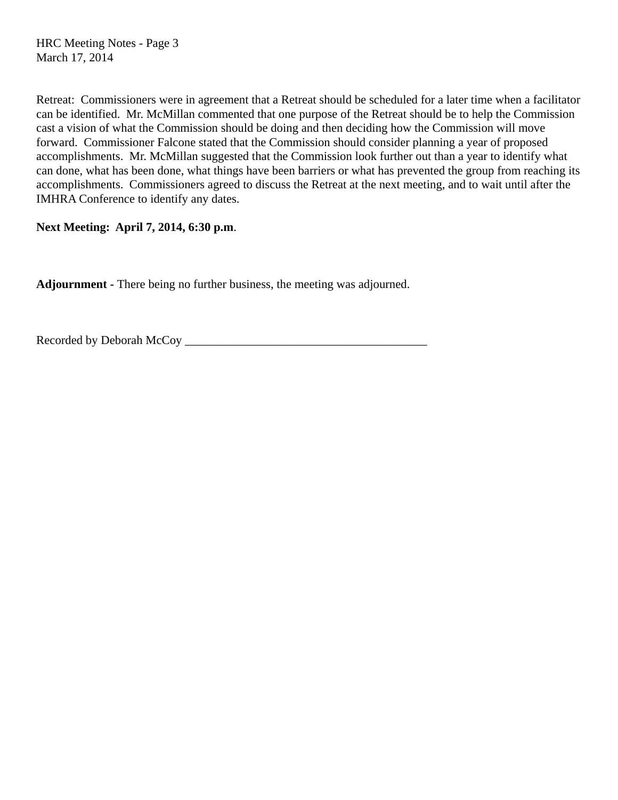HRC Meeting Notes - Page 3 March 17, 2014

Retreat: Commissioners were in agreement that a Retreat should be scheduled for a later time when a facilitator can be identified. Mr. McMillan commented that one purpose of the Retreat should be to help the Commission cast a vision of what the Commission should be doing and then deciding how the Commission will move forward. Commissioner Falcone stated that the Commission should consider planning a year of proposed accomplishments. Mr. McMillan suggested that the Commission look further out than a year to identify what can done, what has been done, what things have been barriers or what has prevented the group from reaching its accomplishments. Commissioners agreed to discuss the Retreat at the next meeting, and to wait until after the IMHRA Conference to identify any dates.

## **Next Meeting: April 7, 2014, 6:30 p.m**.

**Adjournment -** There being no further business, the meeting was adjourned.

Recorded by Deborah McCoy \_\_\_\_\_\_\_\_\_\_\_\_\_\_\_\_\_\_\_\_\_\_\_\_\_\_\_\_\_\_\_\_\_\_\_\_\_\_\_\_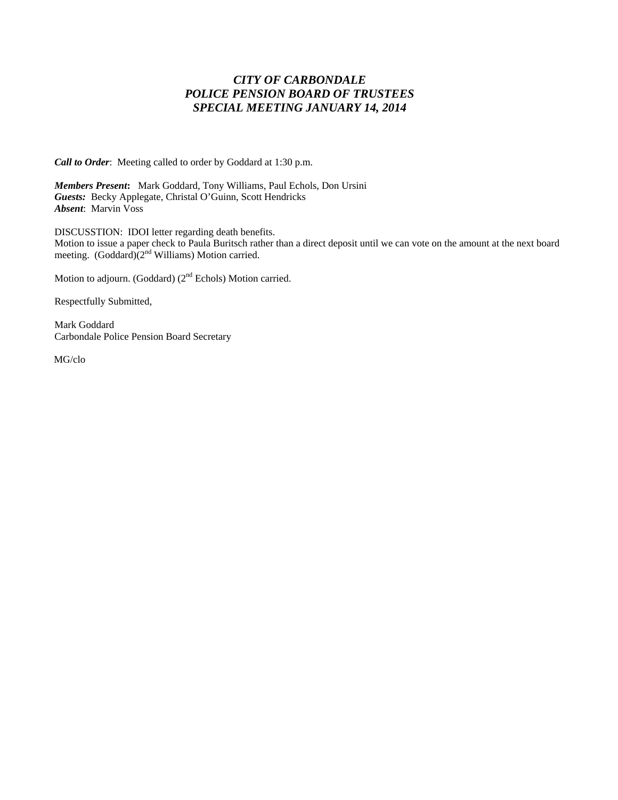## *CITY OF CARBONDALE POLICE PENSION BOARD OF TRUSTEES SPECIAL MEETING JANUARY 14, 2014*

*Call to Order*: Meeting called to order by Goddard at 1:30 p.m.

*Members Present***:** Mark Goddard, Tony Williams, Paul Echols, Don Ursini *Guests:* Becky Applegate, Christal O'Guinn, Scott Hendricks *Absent*: Marvin Voss

DISCUSSTION: IDOI letter regarding death benefits. Motion to issue a paper check to Paula Buritsch rather than a direct deposit until we can vote on the amount at the next board meeting.  $(Goddard)(2<sup>nd</sup> Williams) Motion carried.$ 

Motion to adjourn. (Goddard) (2<sup>nd</sup> Echols) Motion carried.

Respectfully Submitted,

Mark Goddard Carbondale Police Pension Board Secretary

MG/clo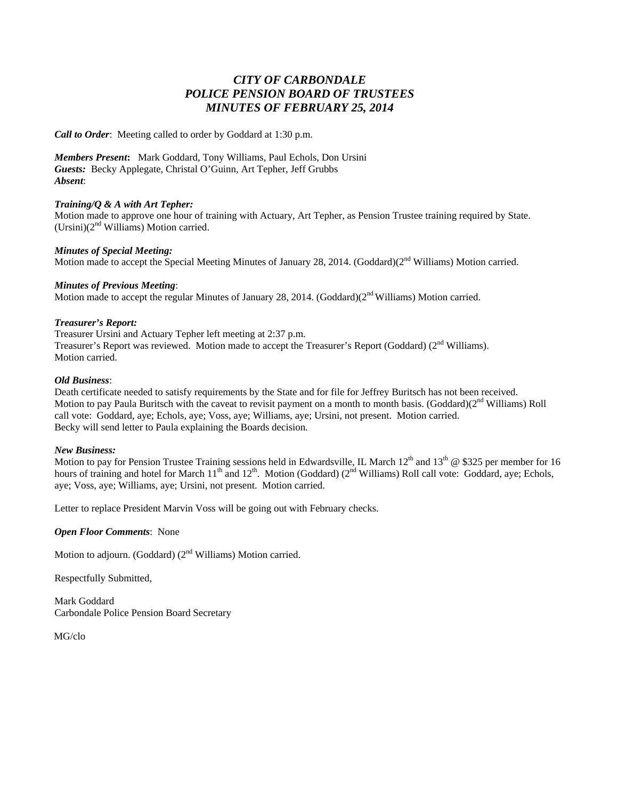## *CITY OF CARBONDALE POLICE PENSION BOARD OF TRUSTEES MINUTES OF FEBRUARY 25, 2014*

*Call to Order*: Meeting called to order by Goddard at 1:30 p.m.

*Members Present***:** Mark Goddard, Tony Williams, Paul Echols, Don Ursini *Guests:* Becky Applegate, Christal O'Guinn, Art Tepher, Jeff Grubbs *Absent*:

#### *Training/Q & A with Art Tepher:*

Motion made to approve one hour of training with Actuary, Art Tepher, as Pension Trustee training required by State.  $(Ursini)(2<sup>nd</sup> Williams)$  Motion carried.

#### *Minutes of Special Meeting:*

Motion made to accept the Special Meeting Minutes of January 28, 2014. (Goddard)(2<sup>nd</sup> Williams) Motion carried.

#### *Minutes of Previous Meeting*:

Motion made to accept the regular Minutes of January 28, 2014. (Goddard)(2<sup>nd</sup> Williams) Motion carried.

#### *Treasurer's Report:*

Treasurer Ursini and Actuary Tepher left meeting at 2:37 p.m. Treasurer's Report was reviewed. Motion made to accept the Treasurer's Report (Goddard) (2<sup>nd</sup> Williams). Motion carried.

#### *Old Business*:

Death certificate needed to satisfy requirements by the State and for file for Jeffrey Buritsch has not been received. Motion to pay Paula Buritsch with the caveat to revisit payment on a month to month basis. (Goddard) $(2<sup>nd</sup> Williams)$  Roll call vote: Goddard, aye; Echols, aye; Voss, aye; Williams, aye; Ursini, not present. Motion carried. Becky will send letter to Paula explaining the Boards decision.

#### *New Business:*

Motion to pay for Pension Trustee Training sessions held in Edwardsville, IL March  $12^{th}$  and  $13^{th}$  @ \$325 per member for 16 hours of training and hotel for March 11<sup>th</sup> and 12<sup>th</sup>. Motion (Goddard) (2<sup>nd</sup> Williams) Roll call vote: Goddard, aye; Echols, aye; Voss, aye; Williams, aye; Ursini, not present. Motion carried.

Letter to replace President Marvin Voss will be going out with February checks.

*Open Floor Comments*: None

Motion to adjourn. (Goddard) (2<sup>nd</sup> Williams) Motion carried.

Respectfully Submitted,

Mark Goddard Carbondale Police Pension Board Secretary

MG/clo